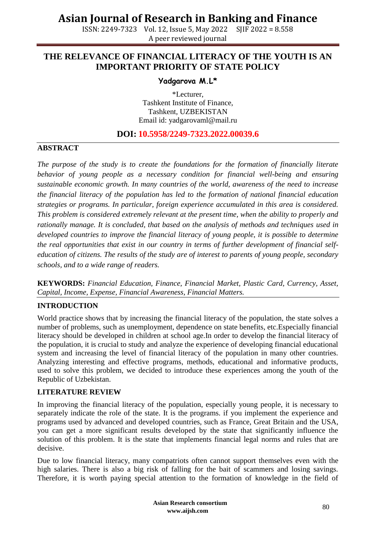ISSN: 2249-7323 Vol. 12, Issue 5, May 2022 SJIF 2022 = 8.558 A peer reviewed journal

### **THE RELEVANCE OF FINANCIAL LITERACY OF THE YOUTH IS AN IMPORTANT PRIORITY OF STATE POLICY**

### **Yadgarova M.L\***

\*Lecturer, Tashkent Institute of Finance, Tashkent, UZBEKISTAN Email id: [yadgarovaml@mail.ru](mailto:yadgarovaml@mail.ru)

### **DOI: 10.5958/2249-7323.2022.00039.6**

#### **ABSTRACT**

*The purpose of the study is to create the foundations for the formation of financially literate behavior of young people as a necessary condition for financial well-being and ensuring sustainable economic growth. In many countries of the world, awareness of the need to increase the financial literacy of the population has led to the formation of national financial education strategies or programs. In particular, foreign experience accumulated in this area is considered. This problem is considered extremely relevant at the present time, when the ability to properly and rationally manage. It is concluded, that based on the analysis of methods and techniques used in developed countries to improve the financial literacy of young people, it is possible to determine the real opportunities that exist in our country in terms of further development of financial selfeducation of citizens. The results of the study are of interest to parents of young people, secondary schools, and to a wide range of readers.*

**KEYWORDS:** *Financial Education, Finance, Financial Market, Plastic Card, Currency, Asset, Capital, Income, Expense, Financial Awareness, Financial Matters.*

#### **INTRODUCTION**

World practice shows that by increasing the financial literacy of the population, the state solves a number of problems, such as unemployment, dependence on state benefits, etc.Especially financial literacy should be developed in children at school age.In order to develop the financial literacy of the population, it is crucial to study and analyze the experience of developing financial educational system and increasing the level of financial literacy of the population in many other countries. Analyzing interesting and effective programs, methods, educational and informative products, used to solve this problem, we decided to introduce these experiences among the youth of the Republic of Uzbekistan.

#### **LITERATURE REVIEW**

In improving the financial literacy of the population, especially young people, it is necessary to separately indicate the role of the state. It is the programs. if you implement the experience and programs used by advanced and developed countries, such as France, Great Britain and the USA, you can get a more significant results developed by the state that significantly influence the solution of this problem. It is the state that implements financial legal norms and rules that are decisive.

Due to low financial literacy, many compatriots often cannot support themselves even with the high salaries. There is also a big risk of falling for the bait of scammers and losing savings. Therefore, it is worth paying special attention to the formation of knowledge in the field of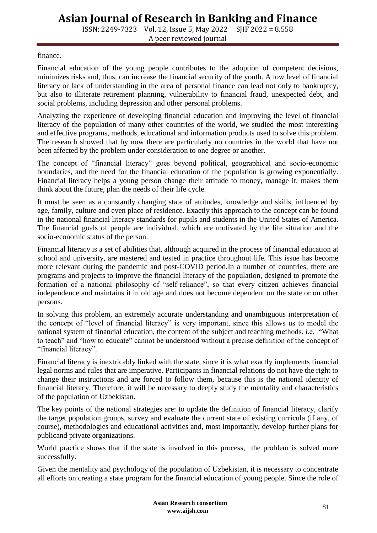ISSN: 2249-7323 Vol. 12, Issue 5, May 2022 SJIF 2022 = 8.558 A peer reviewed journal

finance.

Financial education of the young people contributes to the adoption of competent decisions, minimizes risks and, thus, can increase the financial security of the youth. A low level of financial literacy or lack of understanding in the area of personal finance can lead not only to bankruptcy, but also to illiterate retirement planning, vulnerability to financial fraud, unexpected debt, and social problems, including depression and other personal problems.

Analyzing the experience of developing financial education and improving the level of financial literacy of the population of many other countries of the world, we studied the most interesting and effective programs, methods, educational and information products used to solve this problem. The research showed that by now there are particularly no countries in the world that have not been affected by the problem under consideration to one degree or another.

The concept of "financial literacy" goes beyond political, geographical and socio-economic boundaries, and the need for the financial education of the population is growing exponentially. Financial literacy helps a young person change their attitude to money, manage it, makes them think about the future, plan the needs of their life cycle.

It must be seen as a constantly changing state of attitudes, knowledge and skills, influenced by age, family, culture and even place of residence. Exactly this approach to the concept can be found in the national financial literacy standards for pupils and students in the United States of America. The financial goals of people are individual, which are motivated by the life situation and the socio-economic status of the person.

Financial literacy is a set of abilities that, although acquired in the process of financial education at school and university, are mastered and tested in practice throughout life. This issue has become more relevant during the pandemic and post-COVID period.In a number of countries, there are programs and projects to improve the financial literacy of the population, designed to promote the formation of a national philosophy of "self-reliance", so that every citizen achieves financial independence and maintains it in old age and does not become dependent on the state or on other persons.

In solving this problem, an extremely accurate understanding and unambiguous interpretation of the concept of "level of financial literacy" is very important, since this allows us to model the national system of financial education, the content of the subject and teaching methods, i.e. "What to teach" and "how to educate" cannot be understood without a precise definition of the concept of "financial literacy".

Financial literacy is inextricably linked with the state, since it is what exactly implements financial legal norms and rules that are imperative. Participants in financial relations do not have the right to change their instructions and are forced to follow them, because this is the national identity of financial literacy. Therefore, it will be necessary to deeply study the mentality and characteristics of the population of Uzbekistan.

The key points of the national strategies are: to update the definition of financial literacy, clarify the target population groups, survey and evaluate the current state of existing curricula (if any, of course), methodologies and educational activities and, most importantly, develop further plans for publicand private organizations.

World practice shows that if the state is involved in this process, the problem is solved more successfully.

Given the mentality and psychology of the population of Uzbekistan, it is necessary to concentrate all efforts on creating a state program for the financial education of young people. Since the role of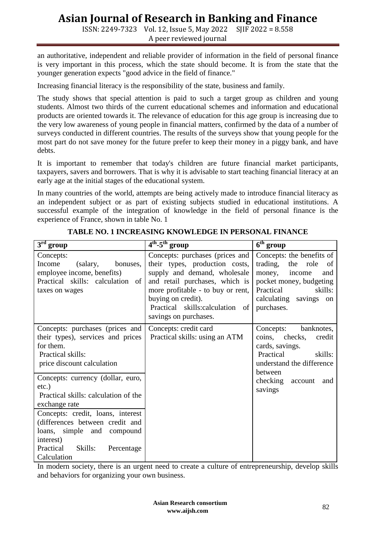ISSN: 2249-7323 Vol. 12, Issue 5, May 2022 SJIF 2022 = 8.558 A peer reviewed journal

an authoritative, independent and reliable provider of information in the field of personal finance is very important in this process, which the state should become. It is from the state that the younger generation expects "good advice in the field of finance."

Increasing financial literacy is the responsibility of the state, business and family.

The study shows that special attention is paid to such a target group as children and young students. Almost two thirds of the current educational schemes and information and educational products are oriented towards it. The relevance of education for this age group is increasing due to the very low awareness of young people in financial matters, confirmed by the data of a number of surveys conducted in different countries. The results of the surveys show that young people for the most part do not save money for the future prefer to keep their money in a piggy bank, and have debts.

It is important to remember that today's children are future financial market participants, taxpayers, savers and borrowers. That is why it is advisable to start teaching financial literacy at an early age at the initial stages of the educational system.

In many countries of the world, attempts are being actively made to introduce financial literacy as an independent subject or as part of existing subjects studied in educational institutions. A successful example of the integration of knowledge in the field of personal finance is the experience of France, shown in table No. 1

| $3rd$ group                                                                                                                                                                                                                                                                    | $4^{\text{th}}$ -5 <sup>th</sup> group                                                                                                                                                                                                                     | $\overline{6^{th}}$ group                                                                                                                                                                |
|--------------------------------------------------------------------------------------------------------------------------------------------------------------------------------------------------------------------------------------------------------------------------------|------------------------------------------------------------------------------------------------------------------------------------------------------------------------------------------------------------------------------------------------------------|------------------------------------------------------------------------------------------------------------------------------------------------------------------------------------------|
| Concepts:<br>Income<br>(salary,<br>bonuses,<br>employee income, benefits)<br>Practical skills: calculation of<br>taxes on wages                                                                                                                                                | Concepts: purchases (prices and<br>their types, production costs,<br>supply and demand, wholesale<br>and retail purchases, which is<br>more profitable - to buy or rent,<br>buying on credit).<br>Practical skills:calculation of<br>savings on purchases. | Concepts: the benefits of<br>trading,<br>the role<br><sub>of</sub><br>money,<br>income<br>and<br>pocket money, budgeting<br>Practical<br>skills:<br>calculating savings on<br>purchases. |
| Concepts: purchases (prices and<br>their types), services and prices<br>for them.<br>Practical skills:<br>price discount calculation                                                                                                                                           | Concepts: credit card<br>Practical skills: using an ATM                                                                                                                                                                                                    | Concepts:<br>banknotes,<br>coins, checks,<br>credit<br>cards, savings.<br>Practical<br>skills:<br>understand the difference<br>between                                                   |
| Concepts: currency (dollar, euro,<br>$etc.$ )<br>Practical skills: calculation of the<br>exchange rate<br>Concepts: credit, loans, interest<br>(differences between credit and<br>loans, simple and compound<br>interest)<br>Skills:<br>Practical<br>Percentage<br>Calculation |                                                                                                                                                                                                                                                            | checking account<br>and<br>savings                                                                                                                                                       |

**TABLE NO. 1 INCREASING KNOWLEDGE IN PERSONAL FINANCE**

In modern society, there is an urgent need to create a culture of entrepreneurship, develop skills and behaviors for organizing your own business.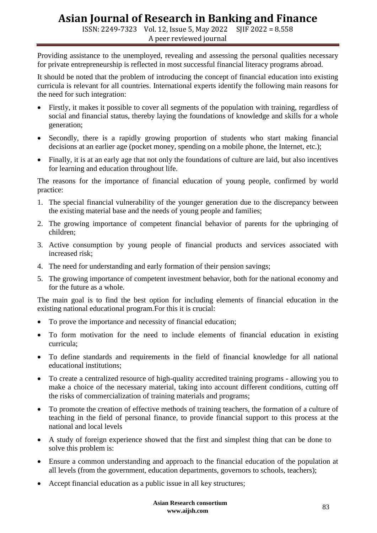ISSN: 2249-7323 Vol. 12, Issue 5, May 2022 SJIF 2022 = 8.558 A peer reviewed journal

Providing assistance to the unemployed, revealing and assessing the personal qualities necessary for private entrepreneurship is reflected in most successful financial literacy programs abroad.

It should be noted that the problem of introducing the concept of financial education into existing curricula is relevant for all countries. International experts identify the following main reasons for the need for such integration:

- Firstly, it makes it possible to cover all segments of the population with training, regardless of social and financial status, thereby laying the foundations of knowledge and skills for a whole generation;
- Secondly, there is a rapidly growing proportion of students who start making financial decisions at an earlier age (pocket money, spending on a mobile phone, the Internet, etc.);
- Finally, it is at an early age that not only the foundations of culture are laid, but also incentives for learning and education throughout life.

The reasons for the importance of financial education of young people, confirmed by world practice:

- 1. The special financial vulnerability of the younger generation due to the discrepancy between the existing material base and the needs of young people and families;
- 2. The growing importance of competent financial behavior of parents for the upbringing of children;
- 3. Active consumption by young people of financial products and services associated with increased risk;
- 4. The need for understanding and early formation of their pension savings;
- 5. The growing importance of competent investment behavior, both for the national economy and for the future as a whole.

The main goal is to find the best option for including elements of financial education in the existing national educational program.For this it is crucial:

- To prove the importance and necessity of financial education;
- To form motivation for the need to include elements of financial education in existing curricula;
- To define standards and requirements in the field of financial knowledge for all national educational institutions;
- To create a centralized resource of high-quality accredited training programs allowing you to make a choice of the necessary material, taking into account different conditions, cutting off the risks of commercialization of training materials and programs;
- To promote the creation of effective methods of training teachers, the formation of a culture of teaching in the field of personal finance, to provide financial support to this process at the national and local levels
- A study of foreign experience showed that the first and simplest thing that can be done to solve this problem is:
- Ensure a common understanding and approach to the financial education of the population at all levels (from the government, education departments, governors to schools, teachers);
- Accept financial education as a public issue in all key structures;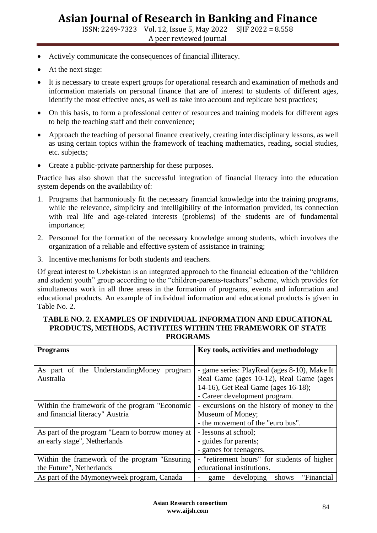ISSN: 2249-7323 Vol. 12, Issue 5, May 2022 SJIF 2022 = 8.558 A peer reviewed journal

- Actively communicate the consequences of financial illiteracy.
- At the next stage:
- It is necessary to create expert groups for operational research and examination of methods and information materials on personal finance that are of interest to students of different ages, identify the most effective ones, as well as take into account and replicate best practices;
- On this basis, to form a professional center of resources and training models for different ages to help the teaching staff and their convenience;
- Approach the teaching of personal finance creatively, creating interdisciplinary lessons, as well as using certain topics within the framework of teaching mathematics, reading, social studies, etc. subjects;
- Create a public-private partnership for these purposes.

Practice has also shown that the successful integration of financial literacy into the education system depends on the availability of:

- 1. Programs that harmoniously fit the necessary financial knowledge into the training programs, while the relevance, simplicity and intelligibility of the information provided, its connection with real life and age-related interests (problems) of the students are of fundamental importance;
- 2. Personnel for the formation of the necessary knowledge among students, which involves the organization of a reliable and effective system of assistance in training;
- 3. Incentive mechanisms for both students and teachers.

Of great interest to Uzbekistan is an integrated approach to the financial education of the "children and student youth" group according to the "children-parents-teachers" scheme, which provides for simultaneous work in all three areas in the formation of programs, events and information and educational products. An example of individual information and educational products is given in Table No. 2.

#### **TABLE NO. 2. EXAMPLES OF INDIVIDUAL INFORMATION AND EDUCATIONAL PRODUCTS, METHODS, ACTIVITIES WITHIN THE FRAMEWORK OF STATE PROGRAMS**

| <b>Programs</b>                                  | Key tools, activities and methodology        |  |
|--------------------------------------------------|----------------------------------------------|--|
|                                                  |                                              |  |
| As part of the Understanding Money program       | - game series: PlayReal (ages 8-10), Make It |  |
| Australia                                        | Real Game (ages 10-12), Real Game (ages      |  |
|                                                  | 14-16), Get Real Game (ages 16-18);          |  |
|                                                  | - Career development program.                |  |
| Within the framework of the program "Economic    | - excursions on the history of money to the  |  |
| and financial literacy" Austria                  | Museum of Money;                             |  |
|                                                  | - the movement of the "euro bus".            |  |
| As part of the program "Learn to borrow money at | - lessons at school;                         |  |
| an early stage", Netherlands                     | - guides for parents;                        |  |
|                                                  | - games for teenagers.                       |  |
| Within the framework of the program "Ensuring"   | - "retirement hours" for students of higher  |  |
| the Future", Netherlands                         | educational institutions.                    |  |
| As part of the Mymoneyweek program, Canada       | "Financial<br>developing<br>shows<br>game    |  |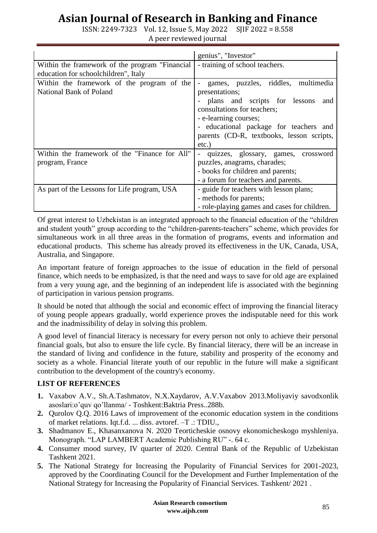ISSN: 2249-7323 Vol. 12, Issue 5, May 2022 SJIF 2022 = 8.558 A peer reviewed journal

|                                                 | genius", "Investor"                                      |  |
|-------------------------------------------------|----------------------------------------------------------|--|
| Within the framework of the program "Financial" | - training of school teachers.                           |  |
| education for schoolchildren", Italy            |                                                          |  |
| Within the framework of the program of the      | games, puzzles, riddles, multimedia<br>$\qquad \qquad -$ |  |
| National Bank of Poland                         | presentations;                                           |  |
|                                                 | plans and scripts for lessons<br>and                     |  |
|                                                 | consultations for teachers;                              |  |
|                                                 | - e-learning courses;                                    |  |
|                                                 | - educational package for teachers and                   |  |
|                                                 | parents (CD-R, textbooks, lesson scripts,                |  |
|                                                 | $etc.$ )                                                 |  |
| Within the framework of the "Finance for All"   | quizzes, glossary, games, crossword                      |  |
| program, France                                 | puzzles, anagrams, charades;                             |  |
|                                                 | - books for children and parents;                        |  |
|                                                 | - a forum for teachers and parents.                      |  |
| As part of the Lessons for Life program, USA    | - guide for teachers with lesson plans;                  |  |
|                                                 | - methods for parents;                                   |  |
|                                                 | - role-playing games and cases for children.             |  |

Of great interest to Uzbekistan is an integrated approach to the financial education of the "children and student youth" group according to the "children-parents-teachers" scheme, which provides for simultaneous work in all three areas in the formation of programs, events and information and educational products. This scheme has already proved its effectiveness in the UK, Canada, USA, Australia, and Singapore.

An important feature of foreign approaches to the issue of education in the field of personal finance, which needs to be emphasized, is that the need and ways to save for old age are explained from a very young age, and the beginning of an independent life is associated with the beginning of participation in various pension programs.

It should be noted that although the social and economic effect of improving the financial literacy of young people appears gradually, world experience proves the indisputable need for this work and the inadmissibility of delay in solving this problem.

A good level of financial literacy is necessary for every person not only to achieve their personal financial goals, but also to ensure the life cycle. By financial literacy, there will be an increase in the standard of living and confidence in the future, stability and prosperity of the economy and society as a whole. Financial literate youth of our republic in the future will make a significant contribution to the development of the country's economy.

### **LIST OF REFERENCES**

- **1.** Vaxabov A.V., Sh.A.Tashmatov, N.X.Xaydarov, A.V.Vaxabov 2013.Moliyaviy savodxonlik asoslari:o'quv qo'llanma/ - Toshkent:Baktria Press..288b.
- **2.** Qurolov Q.Q. 2016 Laws of improvement of the economic education system in the conditions of market relations. Iqt.f.d. ... diss. avtoref. –T .: TDIU.,
- **3.** Shadmanov E., Khasanxanova N. 2020 Teorticheskie osnovy ekonomicheskogo myshleniya. Monograph. "LAP LAMBERT Academic Publishing RU" -. 64 c.
- **4.** Consumer mood survey, IV quarter of 2020. Central Bank of the Republic of Uzbekistan Tashkent 2021.
- **5.** The National Strategy for Increasing the Popularity of Financial Services for 2001-2023, approved by the Coordinating Council for the Development and Further Implementation of the National Strategy for Increasing the Popularity of Financial Services. Tashkent/ 2021 .